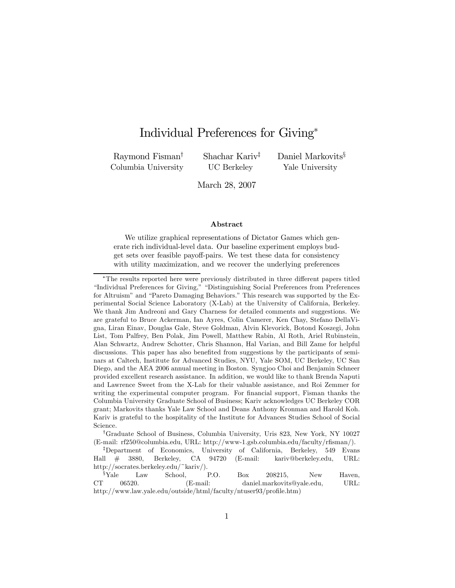# Individual Preferences for Giving<sup>∗</sup>

Raymond Fisman† Columbia University Shachar Kariv‡ UC Berkeley

Daniel Markovits<sup>§</sup> Yale University

March 28, 2007

#### Abstract

We utilize graphical representations of Dictator Games which generate rich individual-level data. Our baseline experiment employs budget sets over feasible payoff-pairs. We test these data for consistency with utility maximization, and we recover the underlying preferences

†Graduate School of Business, Columbia University, Uris 823, New York, NY 10027 (E-mail: rf250@columbia.edu, URL: http://www-1.gsb.columbia.edu/faculty/rfisman/).

<sup>∗</sup>The results reported here were previously distributed in three different papers titled "Individual Preferences for Giving," "Distinguishing Social Preferences from Preferences for Altruism" and "Pareto Damaging Behaviors." This research was supported by the Experimental Social Science Laboratory (X-Lab) at the University of California, Berkeley. We thank Jim Andreoni and Gary Charness for detailed comments and suggestions. We are grateful to Bruce Ackerman, Ian Ayres, Colin Camerer, Ken Chay, Stefano DellaVigna, Liran Einav, Douglas Gale, Steve Goldman, Alvin Klevorick, Botond Koszegi, John List, Tom Palfrey, Ben Polak, Jim Powell, Matthew Rabin, Al Roth, Ariel Rubinstein, Alan Schwartz, Andrew Schotter, Chris Shannon, Hal Varian, and Bill Zame for helpful discussions. This paper has also benefited from suggestions by the participants of seminars at Caltech, Institute for Advanced Studies, NYU, Yale SOM, UC Berkeley, UC San Diego, and the AEA 2006 annual meeting in Boston. Syngjoo Choi and Benjamin Schneer provided excellent research assistance. In addition, we would like to thank Brenda Naputi and Lawrence Sweet from the X-Lab for their valuable assistance, and Roi Zemmer for writing the experimental computer program. For financial support, Fisman thanks the Columbia University Graduate School of Business; Kariv acknowledges UC Berkeley COR grant; Markovits thanks Yale Law School and Deans Anthony Kronman and Harold Koh. Kariv is grateful to the hospitality of the Institute for Advances Studies School of Social Science.

<sup>‡</sup>Department of Economics, University of California, Berkeley, 549 Evans Hall # 3880, Berkeley, CA 94720 (E-mail: kariv@berkeley.edu, URL: http://socrates.berkeley.edu/~kariv/).

<sup>§</sup>Yale Law School, P.O. Box 208215, New Haven, CT 06520. (E-mail: daniel.markovits@yale.edu, URL: http://www.law.yale.edu/outside/html/faculty/ntuser93/profile.htm)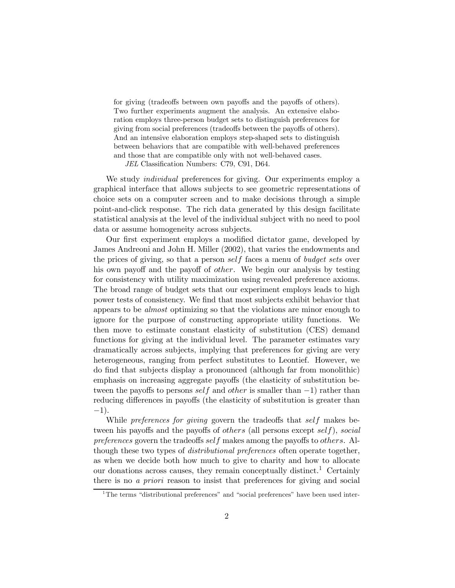for giving (tradeoffs between own payoffs and the payoffs of others). Two further experiments augment the analysis. An extensive elaboration employs three-person budget sets to distinguish preferences for giving from social preferences (tradeoffs between the payoffs of others). And an intensive elaboration employs step-shaped sets to distinguish between behaviors that are compatible with well-behaved preferences and those that are compatible only with not well-behaved cases.

JEL Classification Numbers: C79, C91, D64.

We study individual preferences for giving. Our experiments employ a graphical interface that allows subjects to see geometric representations of choice sets on a computer screen and to make decisions through a simple point-and-click response. The rich data generated by this design facilitate statistical analysis at the level of the individual subject with no need to pool data or assume homogeneity across subjects.

Our first experiment employs a modified dictator game, developed by James Andreoni and John H. Miller (2002), that varies the endowments and the prices of giving, so that a person self faces a menu of budget sets over his own payoff and the payoff of other. We begin our analysis by testing for consistency with utility maximization using revealed preference axioms. The broad range of budget sets that our experiment employs leads to high power tests of consistency. We find that most subjects exhibit behavior that appears to be almost optimizing so that the violations are minor enough to ignore for the purpose of constructing appropriate utility functions. We then move to estimate constant elasticity of substitution (CES) demand functions for giving at the individual level. The parameter estimates vary dramatically across subjects, implying that preferences for giving are very heterogeneous, ranging from perfect substitutes to Leontief. However, we do find that subjects display a pronounced (although far from monolithic) emphasis on increasing aggregate payoffs (the elasticity of substitution between the payoffs to persons self and other is smaller than  $-1$ ) rather than reducing differences in payoffs (the elasticity of substitution is greater than −1).

While *preferences for giving* govern the tradeoffs that self makes between his payoffs and the payoffs of *others* (all persons except self), social preferences govern the tradeoffs self makes among the payoffs to *others*. Although these two types of *distributional preferences* often operate together, as when we decide both how much to give to charity and how to allocate our donations across causes, they remain conceptually distinct.<sup>1</sup> Certainly there is no *a priori* reason to insist that preferences for giving and social

<sup>&</sup>lt;sup>1</sup>The terms "distributional preferences" and "social preferences" have been used inter-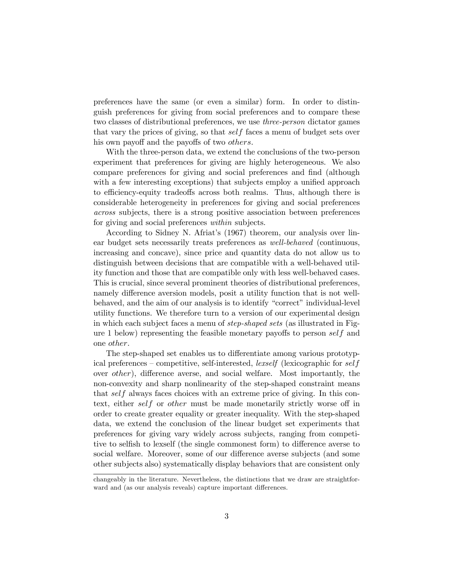preferences have the same (or even a similar) form. In order to distinguish preferences for giving from social preferences and to compare these two classes of distributional preferences, we use three-person dictator games that vary the prices of giving, so that self faces a menu of budget sets over his own payoff and the payoffs of two others.

With the three-person data, we extend the conclusions of the two-person experiment that preferences for giving are highly heterogeneous. We also compare preferences for giving and social preferences and find (although with a few interesting exceptions) that subjects employ a unified approach to efficiency-equity tradeoffs across both realms. Thus, although there is considerable heterogeneity in preferences for giving and social preferences across subjects, there is a strong positive association between preferences for giving and social preferences *within* subjects.

According to Sidney N. Afriat's (1967) theorem, our analysis over linear budget sets necessarily treats preferences as well-behaved (continuous, increasing and concave), since price and quantity data do not allow us to distinguish between decisions that are compatible with a well-behaved utility function and those that are compatible only with less well-behaved cases. This is crucial, since several prominent theories of distributional preferences, namely difference aversion models, posit a utility function that is not wellbehaved, and the aim of our analysis is to identify "correct" individual-level utility functions. We therefore turn to a version of our experimental design in which each subject faces a menu of step-shaped sets (as illustrated in Figure 1 below) representing the feasible monetary payoffs to person self and one other.

The step-shaped set enables us to differentiate among various prototypical preferences — competitive, self-interested, lexself (lexicographic for self over other), difference averse, and social welfare. Most importantly, the non-convexity and sharp nonlinearity of the step-shaped constraint means that self always faces choices with an extreme price of giving. In this context, either self or other must be made monetarily strictly worse off in order to create greater equality or greater inequality. With the step-shaped data, we extend the conclusion of the linear budget set experiments that preferences for giving vary widely across subjects, ranging from competitive to selfish to lexself (the single commonest form) to difference averse to social welfare. Moreover, some of our difference averse subjects (and some other subjects also) systematically display behaviors that are consistent only

changeably in the literature. Nevertheless, the distinctions that we draw are straightforward and (as our analysis reveals) capture important differences.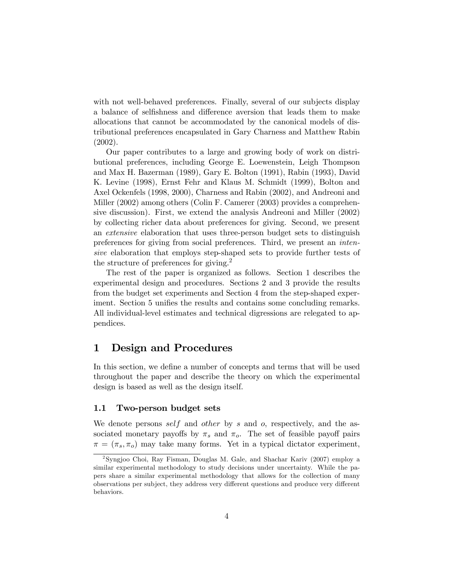with not well-behaved preferences. Finally, several of our subjects display a balance of selfishness and difference aversion that leads them to make allocations that cannot be accommodated by the canonical models of distributional preferences encapsulated in Gary Charness and Matthew Rabin (2002).

Our paper contributes to a large and growing body of work on distributional preferences, including George E. Loewenstein, Leigh Thompson and Max H. Bazerman (1989), Gary E. Bolton (1991), Rabin (1993), David K. Levine (1998), Ernst Fehr and Klaus M. Schmidt (1999), Bolton and Axel Ockenfels (1998, 2000), Charness and Rabin (2002), and Andreoni and Miller (2002) among others (Colin F. Camerer (2003) provides a comprehensive discussion). First, we extend the analysis Andreoni and Miller (2002) by collecting richer data about preferences for giving. Second, we present an extensive elaboration that uses three-person budget sets to distinguish preferences for giving from social preferences. Third, we present an intensive elaboration that employs step-shaped sets to provide further tests of the structure of preferences for giving.<sup>2</sup>

The rest of the paper is organized as follows. Section 1 describes the experimental design and procedures. Sections 2 and 3 provide the results from the budget set experiments and Section 4 from the step-shaped experiment. Section 5 unifies the results and contains some concluding remarks. All individual-level estimates and technical digressions are relegated to appendices.

# 1 Design and Procedures

In this section, we define a number of concepts and terms that will be used throughout the paper and describe the theory on which the experimental design is based as well as the design itself.

### 1.1 Two-person budget sets

We denote persons self and other by s and  $o$ , respectively, and the associated monetary payoffs by  $\pi_s$  and  $\pi_o$ . The set of feasible payoff pairs  $\pi = (\pi_s, \pi_o)$  may take many forms. Yet in a typical dictator experiment,

<sup>2</sup>Syngjoo Choi, Ray Fisman, Douglas M. Gale, and Shachar Kariv (2007) employ a similar experimental methodology to study decisions under uncertainty. While the papers share a similar experimental methodology that allows for the collection of many observations per subject, they address very different questions and produce very different behaviors.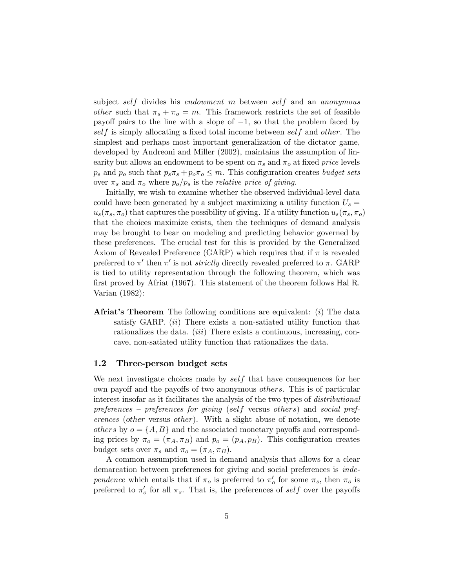subject self divides his endowment m between self and an anonymous other such that  $\pi_s + \pi_o = m$ . This framework restricts the set of feasible payoff pairs to the line with a slope of  $-1$ , so that the problem faced by self is simply allocating a fixed total income between self and other. The simplest and perhaps most important generalization of the dictator game, developed by Andreoni and Miller (2002), maintains the assumption of linearity but allows an endowment to be spent on  $\pi_s$  and  $\pi_o$  at fixed price levels  $p_s$  and  $p_o$  such that  $p_s \pi_s + p_o \pi_o \leq m$ . This configuration creates *budget sets* over  $\pi_s$  and  $\pi_o$  where  $p_o/p_s$  is the *relative price of giving*.

Initially, we wish to examine whether the observed individual-level data could have been generated by a subject maximizing a utility function  $U_s =$  $u_s(\pi_s, \pi_o)$  that captures the possibility of giving. If a utility function  $u_s(\pi_s, \pi_o)$ that the choices maximize exists, then the techniques of demand analysis may be brought to bear on modeling and predicting behavior governed by these preferences. The crucial test for this is provided by the Generalized Axiom of Revealed Preference (GARP) which requires that if  $\pi$  is revealed preferred to  $\pi'$  then  $\pi'$  is not *strictly* directly revealed preferred to  $\pi$ . GARP is tied to utility representation through the following theorem, which was first proved by Afriat (1967). This statement of the theorem follows Hal R. Varian (1982):

**Afriat's Theorem** The following conditions are equivalent:  $(i)$  The data satisfy GARP. *(ii)* There exists a non-satiated utility function that rationalizes the data. *(iii)* There exists a continuous, increasing, concave, non-satiated utility function that rationalizes the data.

#### 1.2 Three-person budget sets

We next investigate choices made by  $self$  that have consequences for her own payoff and the payoffs of two anonymous others. This is of particular interest insofar as it facilitates the analysis of the two types of distributional preferences — preferences for giving (self versus others) and social preferences (other versus other). With a slight abuse of notation, we denote others by  $o = \{A, B\}$  and the associated monetary payoffs and corresponding prices by  $\pi_o = (\pi_A, \pi_B)$  and  $p_o = (p_A, p_B)$ . This configuration creates budget sets over  $\pi_s$  and  $\pi_o = (\pi_A, \pi_B)$ .

A common assumption used in demand analysis that allows for a clear demarcation between preferences for giving and social preferences is independence which entails that if  $\pi_o$  is preferred to  $\pi'_o$  for some  $\pi_s$ , then  $\pi_o$  is preferred to  $\pi'_{o}$  for all  $\pi_{s}$ . That is, the preferences of self over the payoffs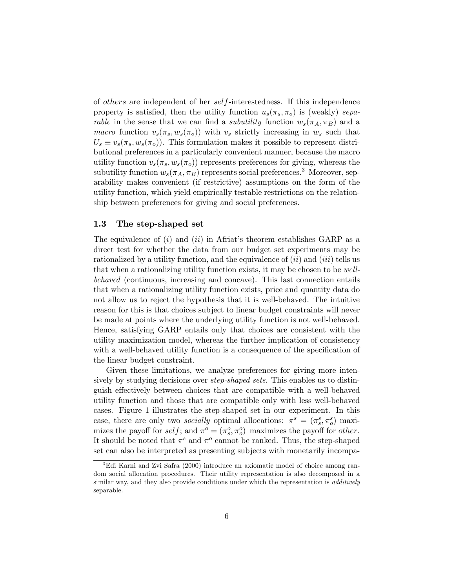of others are independent of her self-interestedness. If this independence property is satisfied, then the utility function  $u_s(\pi_s, \pi_o)$  is (weakly) sepa*rable* in the sense that we can find a *subutility* function  $w_s(\pi_A, \pi_B)$  and a macro function  $v_s(\pi_s, w_s(\pi_o))$  with  $v_s$  strictly increasing in  $w_s$  such that  $U_s \equiv v_s(\pi_s, w_s(\pi_o))$ . This formulation makes it possible to represent distributional preferences in a particularly convenient manner, because the macro utility function  $v_s(\pi_s, w_s(\pi_o))$  represents preferences for giving, whereas the subutility function  $w_s(\pi_A, \pi_B)$  represents social preferences.<sup>3</sup> Moreover, separability makes convenient (if restrictive) assumptions on the form of the utility function, which yield empirically testable restrictions on the relationship between preferences for giving and social preferences.

### 1.3 The step-shaped set

The equivalence of  $(i)$  and  $(ii)$  in Afriat's theorem establishes GARP as a direct test for whether the data from our budget set experiments may be rationalized by a utility function, and the equivalence of  $(ii)$  and  $(iii)$  tells us that when a rationalizing utility function exists, it may be chosen to be wellbehaved (continuous, increasing and concave). This last connection entails that when a rationalizing utility function exists, price and quantity data do not allow us to reject the hypothesis that it is well-behaved. The intuitive reason for this is that choices subject to linear budget constraints will never be made at points where the underlying utility function is not well-behaved. Hence, satisfying GARP entails only that choices are consistent with the utility maximization model, whereas the further implication of consistency with a well-behaved utility function is a consequence of the specification of the linear budget constraint.

Given these limitations, we analyze preferences for giving more intensively by studying decisions over step-shaped sets. This enables us to distinguish effectively between choices that are compatible with a well-behaved utility function and those that are compatible only with less well-behaved cases. Figure 1 illustrates the step-shaped set in our experiment. In this case, there are only two *socially* optimal allocations:  $\pi^s = (\pi_s^s, \pi_o^s)$  maximizes the payoff for  $self$ ; and  $\pi^o = (\pi_s^o, \pi_o^o)$  maximizes the payoff for *other*. It should be noted that  $\pi^s$  and  $\pi^o$  cannot be ranked. Thus, the step-shaped set can also be interpreted as presenting subjects with monetarily incompa-

<sup>3</sup>Edi Karni and Zvi Safra (2000) introduce an axiomatic model of choice among random social allocation procedures. Their utility representation is also decomposed in a similar way, and they also provide conditions under which the representation is *additively* separable.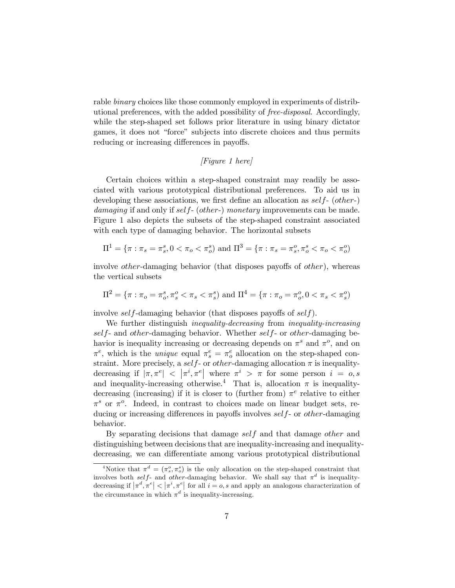rable *binary* choices like those commonly employed in experiments of distributional preferences, with the added possibility of free-disposal. Accordingly, while the step-shaped set follows prior literature in using binary dictator games, it does not "force" subjects into discrete choices and thus permits reducing or increasing differences in payoffs.

#### [Figure 1 here]

Certain choices within a step-shaped constraint may readily be associated with various prototypical distributional preferences. To aid us in developing these associations, we first define an allocation as *self-* (*other-*) damaging if and only if self- (other-) monetary improvements can be made. Figure 1 also depicts the subsets of the step-shaped constraint associated with each type of damaging behavior. The horizontal subsets

$$
\Pi^1 = \{ \pi : \pi_s = \pi_s^s, 0 < \pi_o < \pi_o^s \} \text{ and } \Pi^3 = \{ \pi : \pi_s = \pi_s^o, \pi_o^s < \pi_o < \pi_o^o \}
$$

involve *other*-damaging behavior (that disposes payoffs of *other*), whereas the vertical subsets

$$
\Pi^2 = \{ \pi : \pi_o = \pi_o^s, \pi_s^o < \pi_s < \pi_s^s \} \text{ and } \Pi^4 = \{ \pi : \pi_o = \pi_o^o, 0 < \pi_s < \pi_s^o \}
$$

involve self-damaging behavior (that disposes payoffs of self).

We further distinguish *inequality-decreasing* from *inequality-increasing*  $self$ - and other-damaging behavior. Whether self- or other-damaging behavior is inequality increasing or decreasing depends on  $\pi^s$  and  $\pi^o$ , and on  $\pi^e$ , which is the *unique* equal  $\pi^e_s = \pi^e_o$  allocation on the step-shaped constraint. More precisely, a self- or other-damaging allocation  $\pi$  is inequalitydecreasing if  $|\pi, \pi^e| < |\pi^i, \pi^e|$  where  $\pi^i > \pi$  for some person  $i = o, s$ and inequality-increasing otherwise.<sup>4</sup> That is, allocation  $\pi$  is inequalitydecreasing (increasing) if it is closer to (further from)  $\pi^e$  relative to either  $\pi^s$  or  $\pi^o$ . Indeed, in contrast to choices made on linear budget sets, reducing or increasing differences in payoffs involves self- or other-damaging behavior.

By separating decisions that damage self and that damage other and distinguishing between decisions that are inequality-increasing and inequalitydecreasing, we can differentiate among various prototypical distributional

<sup>&</sup>lt;sup>4</sup>Notice that  $\pi^d = (\pi_s^o, \pi_o^s)$  is the only allocation on the step-shaped constraint that involves both self- and other-damaging behavior. We shall say that  $\pi^d$  is inequalitydecreasing if  $|\pi^d, \pi^e| < |\pi^i, \pi^e|$  for all  $i = o, s$  and apply an analogous characterization of the circumstance in which  $\pi^d$  is inequality-increasing.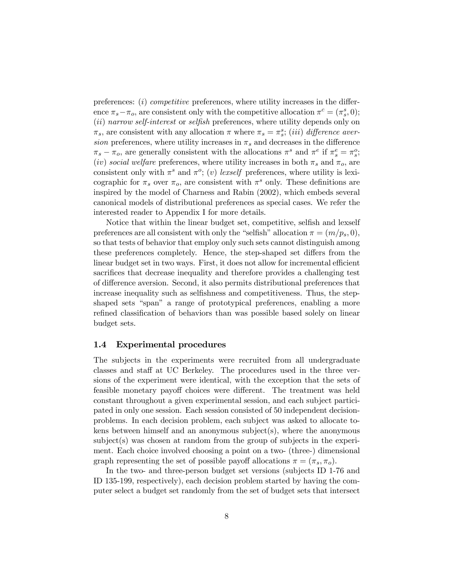preferences: (i) competitive preferences, where utility increases in the difference  $\pi_s - \pi_o$ , are consistent only with the competitive allocation  $\pi^c = (\pi_s^s, 0)$ ; (ii) narrow self-interest or selfish preferences, where utility depends only on  $\pi_s$ , are consistent with any allocation  $\pi$  where  $\pi_s = \pi_s^s$ ; (iii) difference aversion preferences, where utility increases in  $\pi_s$  and decreases in the difference  $\pi_s - \pi_o$ , are generally consistent with the allocations  $\pi^s$  and  $\pi^e$  if  $\pi_s^e = \pi_s^o$ ; (iv) social welfare preferences, where utility increases in both  $\pi_s$  and  $\pi_o$ , are consistent only with  $\pi^s$  and  $\pi^o$ ; (v) lexself preferences, where utility is lexicographic for  $\pi_s$  over  $\pi_o$ , are consistent with  $\pi^s$  only. These definitions are inspired by the model of Charness and Rabin (2002), which embeds several canonical models of distributional preferences as special cases. We refer the interested reader to Appendix I for more details.

Notice that within the linear budget set, competitive, selfish and lexself preferences are all consistent with only the "selfish" allocation  $\pi = (m/p_s, 0)$ , so that tests of behavior that employ only such sets cannot distinguish among these preferences completely. Hence, the step-shaped set differs from the linear budget set in two ways. First, it does not allow for incremental efficient sacrifices that decrease inequality and therefore provides a challenging test of difference aversion. Second, it also permits distributional preferences that increase inequality such as selfishness and competitiveness. Thus, the stepshaped sets "span" a range of prototypical preferences, enabling a more refined classification of behaviors than was possible based solely on linear budget sets.

#### 1.4 Experimental procedures

The subjects in the experiments were recruited from all undergraduate classes and staff at UC Berkeley. The procedures used in the three versions of the experiment were identical, with the exception that the sets of feasible monetary payoff choices were different. The treatment was held constant throughout a given experimental session, and each subject participated in only one session. Each session consisted of 50 independent decisionproblems. In each decision problem, each subject was asked to allocate tokens between himself and an anonymous subject(s), where the anonymous subject(s) was chosen at random from the group of subjects in the experiment. Each choice involved choosing a point on a two- (three-) dimensional graph representing the set of possible payoff allocations  $\pi = (\pi_s, \pi_o)$ .

In the two- and three-person budget set versions (subjects ID 1-76 and ID 135-199, respectively), each decision problem started by having the computer select a budget set randomly from the set of budget sets that intersect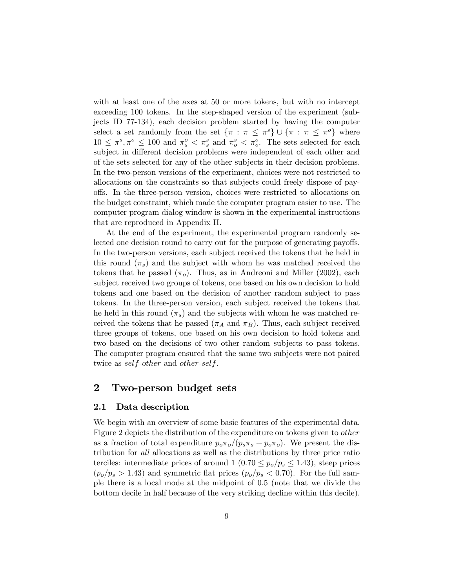with at least one of the axes at 50 or more tokens, but with no intercept exceeding 100 tokens. In the step-shaped version of the experiment (subjects ID 77-134), each decision problem started by having the computer select a set randomly from the set  $\{\pi : \pi \leq \pi^s\} \cup \{\pi : \pi \leq \pi^o\}$  where  $10 \leq \pi^s, \pi^o \leq 100$  and  $\pi^o_s < \pi^s_s$  and  $\pi^s_o < \pi^o_o$ . The sets selected for each subject in different decision problems were independent of each other and of the sets selected for any of the other subjects in their decision problems. In the two-person versions of the experiment, choices were not restricted to allocations on the constraints so that subjects could freely dispose of payoffs. In the three-person version, choices were restricted to allocations on the budget constraint, which made the computer program easier to use. The computer program dialog window is shown in the experimental instructions that are reproduced in Appendix II.

At the end of the experiment, the experimental program randomly selected one decision round to carry out for the purpose of generating payoffs. In the two-person versions, each subject received the tokens that he held in this round  $(\pi_s)$  and the subject with whom he was matched received the tokens that he passed  $(\pi_o)$ . Thus, as in Andreoni and Miller (2002), each subject received two groups of tokens, one based on his own decision to hold tokens and one based on the decision of another random subject to pass tokens. In the three-person version, each subject received the tokens that he held in this round  $(\pi_s)$  and the subjects with whom he was matched received the tokens that he passed ( $\pi_A$  and  $\pi_B$ ). Thus, each subject received three groups of tokens, one based on his own decision to hold tokens and two based on the decisions of two other random subjects to pass tokens. The computer program ensured that the same two subjects were not paired twice as self-other and other-self.

# 2 Two-person budget sets

#### 2.1 Data description

We begin with an overview of some basic features of the experimental data. Figure 2 depicts the distribution of the expenditure on tokens given to other as a fraction of total expenditure  $p_o\pi_o/(p_s\pi_s+p_o\pi_o)$ . We present the distribution for all allocations as well as the distributions by three price ratio terciles: intermediate prices of around  $1 (0.70 \le p_o/p_s \le 1.43)$ , steep prices  $(p_o/p_s > 1.43)$  and symmetric flat prices  $(p_o/p_s < 0.70)$ . For the full sample there is a local mode at the midpoint of 0.5 (note that we divide the bottom decile in half because of the very striking decline within this decile).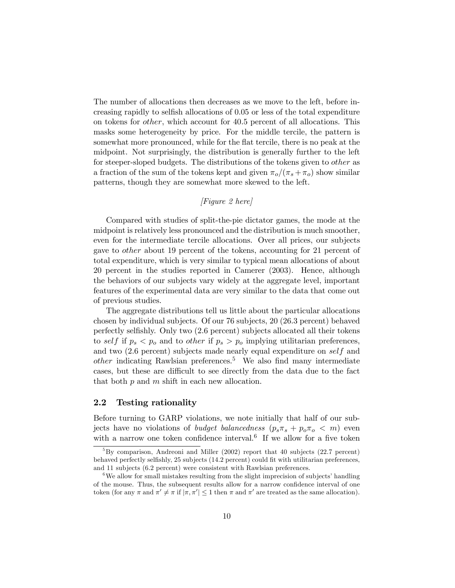The number of allocations then decreases as we move to the left, before increasing rapidly to selfish allocations of 0.05 or less of the total expenditure on tokens for other, which account for 40.5 percent of all allocations. This masks some heterogeneity by price. For the middle tercile, the pattern is somewhat more pronounced, while for the flat tercile, there is no peak at the midpoint. Not surprisingly, the distribution is generally further to the left for steeper-sloped budgets. The distributions of the tokens given to *other* as a fraction of the sum of the tokens kept and given  $\pi_o/(\pi_s + \pi_o)$  show similar patterns, though they are somewhat more skewed to the left.

### [Figure 2 here]

Compared with studies of split-the-pie dictator games, the mode at the midpoint is relatively less pronounced and the distribution is much smoother, even for the intermediate tercile allocations. Over all prices, our subjects gave to other about 19 percent of the tokens, accounting for 21 percent of total expenditure, which is very similar to typical mean allocations of about 20 percent in the studies reported in Camerer (2003). Hence, although the behaviors of our subjects vary widely at the aggregate level, important features of the experimental data are very similar to the data that come out of previous studies.

The aggregate distributions tell us little about the particular allocations chosen by individual subjects. Of our 76 subjects, 20 (26.3 percent) behaved perfectly selfishly. Only two (2.6 percent) subjects allocated all their tokens to self if  $p_s < p_o$  and to other if  $p_s > p_o$  implying utilitarian preferences, and two (2.6 percent) subjects made nearly equal expenditure on self and  $other$  indicating Rawlsian preferences.<sup>5</sup> We also find many intermediate cases, but these are difficult to see directly from the data due to the fact that both  $p$  and  $m$  shift in each new allocation.

### 2.2 Testing rationality

Before turning to GARP violations, we note initially that half of our subjects have no violations of *budget balancedness*  $(p_s \pi_s + p_o \pi_o < m)$  even with a narrow one token confidence interval.<sup>6</sup> If we allow for a five token

 ${}^{5}$ By comparison, Andreoni and Miller (2002) report that 40 subjects (22.7 percent) behaved perfectly selfishly, 25 subjects (14.2 percent) could fit with utilitarian preferences, and 11 subjects (6.2 percent) were consistent with Rawlsian preferences.

<sup>&</sup>lt;sup>6</sup>We allow for small mistakes resulting from the slight imprecision of subjects' handling of the mouse. Thus, the subsequent results allow for a narrow confidence interval of one token (for any  $\pi$  and  $\pi' \neq \pi$  if  $|\pi, \pi'| \leq 1$  then  $\pi$  and  $\pi'$  are treated as the same allocation).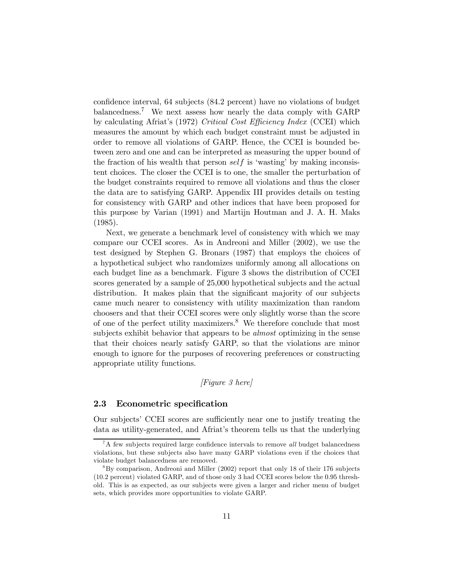confidence interval, 64 subjects (84.2 percent) have no violations of budget balancedness.7 We next assess how nearly the data comply with GARP by calculating Afriat's (1972) Critical Cost Efficiency Index (CCEI) which measures the amount by which each budget constraint must be adjusted in order to remove all violations of GARP. Hence, the CCEI is bounded between zero and one and can be interpreted as measuring the upper bound of the fraction of his wealth that person self is 'wasting' by making inconsistent choices. The closer the CCEI is to one, the smaller the perturbation of the budget constraints required to remove all violations and thus the closer the data are to satisfying GARP. Appendix III provides details on testing for consistency with GARP and other indices that have been proposed for this purpose by Varian (1991) and Martijn Houtman and J. A. H. Maks (1985).

Next, we generate a benchmark level of consistency with which we may compare our CCEI scores. As in Andreoni and Miller (2002), we use the test designed by Stephen G. Bronars (1987) that employs the choices of a hypothetical subject who randomizes uniformly among all allocations on each budget line as a benchmark. Figure 3 shows the distribution of CCEI scores generated by a sample of 25,000 hypothetical subjects and the actual distribution. It makes plain that the significant majority of our subjects came much nearer to consistency with utility maximization than random choosers and that their CCEI scores were only slightly worse than the score of one of the perfect utility maximizers.<sup>8</sup> We therefore conclude that most subjects exhibit behavior that appears to be *almost* optimizing in the sense that their choices nearly satisfy GARP, so that the violations are minor enough to ignore for the purposes of recovering preferences or constructing appropriate utility functions.

### [Figure 3 here]

#### 2.3 Econometric specification

Our subjects' CCEI scores are sufficiently near one to justify treating the data as utility-generated, and Afriat's theorem tells us that the underlying

 ${}^{7}$ A few subjects required large confidence intervals to remove *all* budget balancedness violations, but these subjects also have many GARP violations even if the choices that violate budget balancedness are removed.

 $8By$  comparison, Andreoni and Miller (2002) report that only 18 of their 176 subjects (10.2 percent) violated GARP, and of those only 3 had CCEI scores below the 0.95 threshold. This is as expected, as our subjects were given a larger and richer menu of budget sets, which provides more opportunities to violate GARP.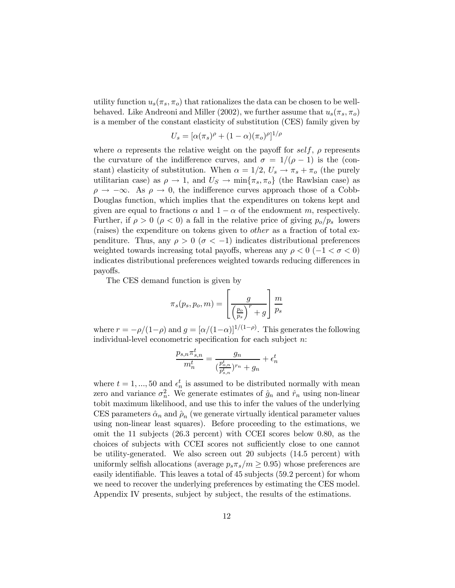utility function  $u_s(\pi_s, \pi_o)$  that rationalizes the data can be chosen to be wellbehaved. Like Andreoni and Miller (2002), we further assume that  $u_s(\pi_s, \pi_o)$ is a member of the constant elasticity of substitution (CES) family given by

$$
U_s = [\alpha(\pi_s)^{\rho} + (1-\alpha)(\pi_o)^{\rho}]^{1/\rho}
$$

where  $\alpha$  represents the relative weight on the payoff for self,  $\rho$  represents the curvature of the indifference curves, and  $\sigma = 1/(\rho - 1)$  is the (constant) elasticity of substitution. When  $\alpha = 1/2$ ,  $U_s \rightarrow \pi_s + \pi_o$  (the purely utilitarian case) as  $\rho \to 1$ , and  $U_S \to \min\{\pi_s, \pi_o\}$  (the Rawlsian case) as  $\rho \rightarrow -\infty$ . As  $\rho \rightarrow 0$ , the indifference curves approach those of a Cobb-Douglas function, which implies that the expenditures on tokens kept and given are equal to fractions  $\alpha$  and  $1 - \alpha$  of the endowment m, respectively. Further, if  $\rho > 0$  ( $\rho < 0$ ) a fall in the relative price of giving  $p_o/p_s$  lowers (raises) the expenditure on tokens given to other as a fraction of total expenditure. Thus, any  $\rho > 0$  ( $\sigma < -1$ ) indicates distributional preferences weighted towards increasing total payoffs, whereas any  $\rho < 0$  (-1 <  $\sigma < 0$ ) indicates distributional preferences weighted towards reducing differences in payoffs.

The CES demand function is given by

$$
\pi_s(p_s, p_o, m) = \left[\frac{g}{\left(\frac{p_o}{p_s}\right)^r + g}\right] \frac{m}{p_s}
$$

where  $r = -\rho/(1-\rho)$  and  $g = [\alpha/(1-\alpha)]^{1/(1-\rho)}$ . This generates the following individual-level econometric specification for each subject  $n$ :

$$
\frac{p_{s,n}\pi^t_{s,n}}{m_n^t} = \frac{g_n}{(\frac{p_{o,n}^t}{p_{s,n}^t})^{r_n} + g_n} + \epsilon_n^t
$$

where  $t = 1, ..., 50$  and  $\epsilon_n^t$  is assumed to be distributed normally with mean zero and variance  $\sigma_n^2$ . We generate estimates of  $\hat{g}_n$  and  $\hat{r}_n$  using non-linear tobit maximum likelihood, and use this to infer the values of the underlying CES parameters  $\hat{\alpha}_n$  and  $\hat{\rho}_n$  (we generate virtually identical parameter values using non-linear least squares). Before proceeding to the estimations, we omit the 11 subjects (26.3 percent) with CCEI scores below 0.80, as the choices of subjects with CCEI scores not sufficiently close to one cannot be utility-generated. We also screen out 20 subjects (14.5 percent) with uniformly selfish allocations (average  $p_s \pi_s/m \geq 0.95$ ) whose preferences are easily identifiable. This leaves a total of 45 subjects (59.2 percent) for whom we need to recover the underlying preferences by estimating the CES model. Appendix IV presents, subject by subject, the results of the estimations.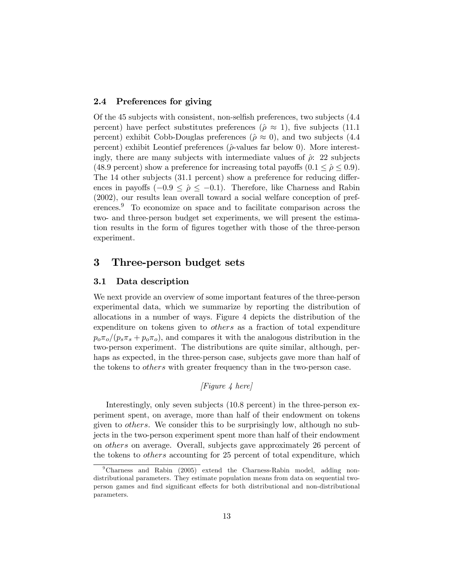### 2.4 Preferences for giving

Of the 45 subjects with consistent, non-selfish preferences, two subjects (4.4 percent) have perfect substitutes preferences ( $\hat{\rho} \approx 1$ ), five subjects (11.1) percent) exhibit Cobb-Douglas preferences ( $\hat{\rho} \approx 0$ ), and two subjects (4.4 percent) exhibit Leontief preferences ( $\hat{\rho}$ -values far below 0). More interestingly, there are many subjects with intermediate values of  $\hat{\rho}$ : 22 subjects (48.9 percent) show a preference for increasing total payoffs  $(0.1 \le \hat{\rho} \le 0.9)$ . The 14 other subjects (31.1 percent) show a preference for reducing differences in payoffs ( $-0.9 \le \hat{\rho} \le -0.1$ ). Therefore, like Charness and Rabin (2002), our results lean overall toward a social welfare conception of preferences.9 To economize on space and to facilitate comparison across the two- and three-person budget set experiments, we will present the estimation results in the form of figures together with those of the three-person experiment.

# 3 Three-person budget sets

#### 3.1 Data description

We next provide an overview of some important features of the three-person experimental data, which we summarize by reporting the distribution of allocations in a number of ways. Figure 4 depicts the distribution of the expenditure on tokens given to others as a fraction of total expenditure  $p_o\pi_o/(p_s\pi_s+p_o\pi_o)$ , and compares it with the analogous distribution in the two-person experiment. The distributions are quite similar, although, perhaps as expected, in the three-person case, subjects gave more than half of the tokens to *others* with greater frequency than in the two-person case.

# [Figure 4 here]

Interestingly, only seven subjects (10.8 percent) in the three-person experiment spent, on average, more than half of their endowment on tokens given to others. We consider this to be surprisingly low, although no subjects in the two-person experiment spent more than half of their endowment on others on average. Overall, subjects gave approximately 26 percent of the tokens to others accounting for 25 percent of total expenditure, which

<sup>9</sup>Charness and Rabin (2005) extend the Charness-Rabin model, adding nondistributional parameters. They estimate population means from data on sequential twoperson games and find significant effects for both distributional and non-distributional parameters.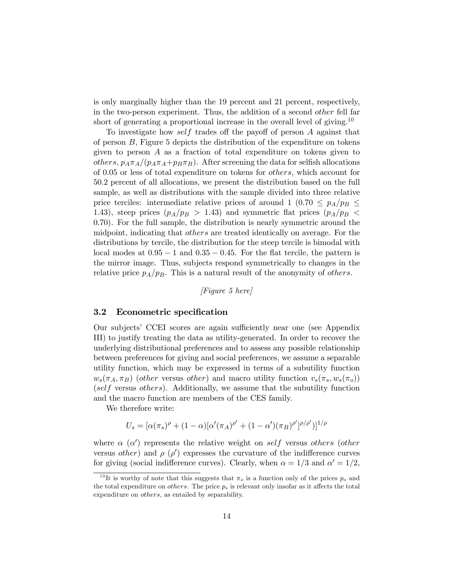is only marginally higher than the 19 percent and 21 percent, respectively, in the two-person experiment. Thus, the addition of a second other fell far short of generating a proportional increase in the overall level of giving.<sup>10</sup>

To investigate how self trades off the payoff of person A against that of person B, Figure 5 depicts the distribution of the expenditure on tokens given to person A as a fraction of total expenditure on tokens given to others,  $p_A \pi_A/(p_A \pi_A + p_B \pi_B)$ . After screening the data for selfish allocations of 0.05 or less of total expenditure on tokens for others, which account for 50.2 percent of all allocations, we present the distribution based on the full sample, as well as distributions with the sample divided into three relative price terciles: intermediate relative prices of around 1 (0.70  $\leq$   $p_A/p_B \leq$ 1.43), steep prices  $(p_A/p_B > 1.43)$  and symmetric flat prices  $(p_A/p_B <$ 0.70). For the full sample, the distribution is nearly symmetric around the midpoint, indicating that others are treated identically on average. For the distributions by tercile, the distribution for the steep tercile is bimodal with local modes at  $0.95 - 1$  and  $0.35 - 0.45$ . For the flat tercile, the pattern is the mirror image. Thus, subjects respond symmetrically to changes in the relative price  $p_A/p_B$ . This is a natural result of the anonymity of *others*.

[Figure 5 here]

#### 3.2 Econometric specification

Our subjects' CCEI scores are again sufficiently near one (see Appendix III) to justify treating the data as utility-generated. In order to recover the underlying distributional preferences and to assess any possible relationship between preferences for giving and social preferences, we assume a separable utility function, which may be expressed in terms of a subutility function  $w_s(\pi_A, \pi_B)$  (other versus other) and macro utility function  $v_s(\pi_s, w_s(\pi_o))$ (self versus others). Additionally, we assume that the subutility function and the macro function are members of the CES family.

We therefore write:

$$
U_s = [\alpha(\pi_s)^{\rho} + (1 - \alpha)[\alpha'(\pi_A)^{\rho'} + (1 - \alpha')(\pi_B)^{\rho'}]^{\rho/\rho'})]^{1/\rho}
$$

where  $\alpha$  ( $\alpha'$ ) represents the relative weight on self versus others (other versus *other*) and  $\rho$  ( $\rho'$ ) expresses the curvature of the indifference curves for giving (social indifference curves). Clearly, when  $\alpha = 1/3$  and  $\alpha' = 1/2$ ,

 $10$  It is worthy of note that this suggests that  $\pi_o$  is a function only of the prices  $p_o$  and the total expenditure on *others*. The price  $p_s$  is relevant only insofar as it affects the total expenditure on others, as entailed by separability.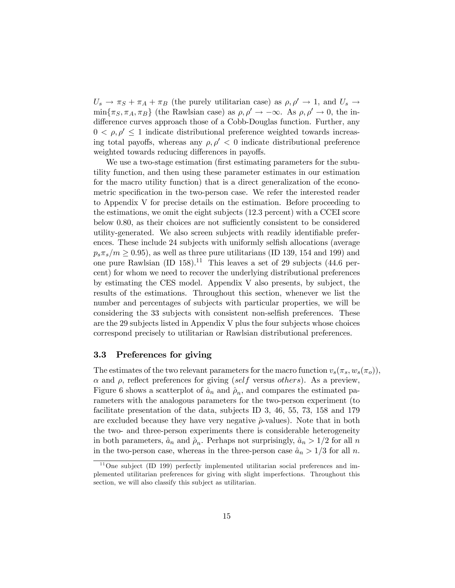$U_s \rightarrow \pi_S + \pi_A + \pi_B$  (the purely utilitarian case) as  $\rho, \rho' \rightarrow 1$ , and  $U_s \rightarrow$  $\min\{\pi_S, \pi_A, \pi_B\}$  (the Rawlsian case) as  $\rho, \rho' \to -\infty$ . As  $\rho, \rho' \to 0$ , the indifference curves approach those of a Cobb-Douglas function. Further, any  $0 < \rho, \rho' \leq 1$  indicate distributional preference weighted towards increasing total payoffs, whereas any  $\rho, \rho' < 0$  indicate distributional preference weighted towards reducing differences in payoffs.

We use a two-stage estimation (first estimating parameters for the subutility function, and then using these parameter estimates in our estimation for the macro utility function) that is a direct generalization of the econometric specification in the two-person case. We refer the interested reader to Appendix V for precise details on the estimation. Before proceeding to the estimations, we omit the eight subjects (12.3 percent) with a CCEI score below 0.80, as their choices are not sufficiently consistent to be considered utility-generated. We also screen subjects with readily identifiable preferences. These include 24 subjects with uniformly selfish allocations (average  $p_s\pi_s/m \geq 0.95$ , as well as three pure utilitarians (ID 139, 154 and 199) and one pure Rawlsian (ID  $158$ ).<sup>11</sup> This leaves a set of 29 subjects (44.6 percent) for whom we need to recover the underlying distributional preferences by estimating the CES model. Appendix V also presents, by subject, the results of the estimations. Throughout this section, whenever we list the number and percentages of subjects with particular properties, we will be considering the 33 subjects with consistent non-selfish preferences. These are the 29 subjects listed in Appendix V plus the four subjects whose choices correspond precisely to utilitarian or Rawlsian distributional preferences.

### 3.3 Preferences for giving

The estimates of the two relevant parameters for the macro function  $v_s(\pi_s, w_s(\pi_o))$ ,  $\alpha$  and  $\rho$ , reflect preferences for giving (self versus others). As a preview, Figure 6 shows a scatterplot of  $\hat{a}_n$  and  $\hat{\rho}_n$ , and compares the estimated parameters with the analogous parameters for the two-person experiment (to facilitate presentation of the data, subjects ID 3, 46, 55, 73, 158 and 179 are excluded because they have very negative  $\hat{\rho}$ -values). Note that in both the two- and three-person experiments there is considerable heterogeneity in both parameters,  $\hat{a}_n$  and  $\hat{\rho}_n$ . Perhaps not surprisingly,  $\hat{a}_n > 1/2$  for all n in the two-person case, whereas in the three-person case  $\hat{a}_n > 1/3$  for all n.

 $11$ One subject (ID 199) perfectly implemented utilitarian social preferences and implemented utilitarian preferences for giving with slight imperfections. Throughout this section, we will also classify this subject as utilitarian.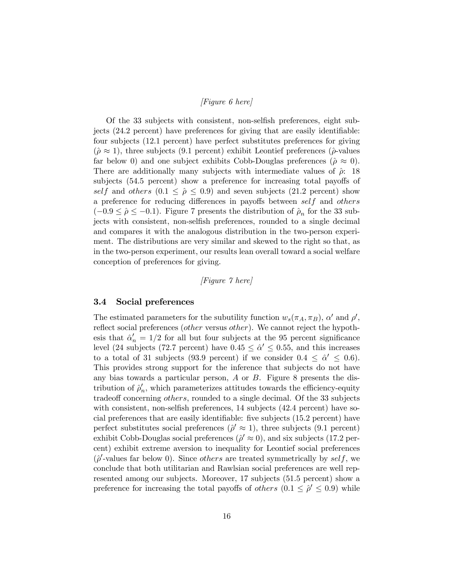### [Figure 6 here]

Of the 33 subjects with consistent, non-selfish preferences, eight subjects (24.2 percent) have preferences for giving that are easily identifiable: four subjects (12.1 percent) have perfect substitutes preferences for giving  $(\hat{\rho} \approx 1)$ , three subjects (9.1 percent) exhibit Leontief preferences ( $\hat{\rho}$ -values far below 0) and one subject exhibits Cobb-Douglas preferences ( $\hat{\rho} \approx 0$ ). There are additionally many subjects with intermediate values of  $\hat{\rho}$ : 18 subjects (54.5 percent) show a preference for increasing total payoffs of self and others  $(0.1 \le \hat{\rho} \le 0.9)$  and seven subjects  $(21.2 \text{ percent})$  show a preference for reducing differences in payoffs between self and others  $(-0.9 \le \hat{\rho} \le -0.1)$ . Figure 7 presents the distribution of  $\hat{\rho}_n$  for the 33 subjects with consistent, non-selfish preferences, rounded to a single decimal and compares it with the analogous distribution in the two-person experiment. The distributions are very similar and skewed to the right so that, as in the two-person experiment, our results lean overall toward a social welfare conception of preferences for giving.

#### [Figure 7 here]

#### 3.4 Social preferences

The estimated parameters for the subutility function  $w_s(\pi_A, \pi_B)$ ,  $\alpha'$  and  $\rho'$ , reflect social preferences (other versus other). We cannot reject the hypothesis that  $\hat{\alpha}'_n = 1/2$  for all but four subjects at the 95 percent significance level (24 subjects (72.7 percent) have  $0.45 \le \hat{\alpha}' \le 0.55$ , and this increases to a total of 31 subjects (93.9 percent) if we consider  $0.4 \leq \hat{\alpha}' \leq 0.6$ ). This provides strong support for the inference that subjects do not have any bias towards a particular person,  $\vec{A}$  or  $\vec{B}$ . Figure 8 presents the distribution of  $\hat{\rho}'_n$ , which parameterizes attitudes towards the efficiency-equity tradeoff concerning *others*, rounded to a single decimal. Of the 33 subjects with consistent, non-selfish preferences, 14 subjects (42.4 percent) have social preferences that are easily identifiable: five subjects (15.2 percent) have perfect substitutes social preferences ( $\hat{\rho}' \approx 1$ ), three subjects (9.1 percent) exhibit Cobb-Douglas social preferences ( $\hat{\rho}' \approx 0$ ), and six subjects (17.2 percent) exhibit extreme aversion to inequality for Leontief social preferences  $(\hat{\rho}'$ -values far below 0). Since *others* are treated symmetrically by *self*, we conclude that both utilitarian and Rawlsian social preferences are well represented among our subjects. Moreover, 17 subjects (51.5 percent) show a preference for increasing the total payoffs of *others*  $(0.1 \le \hat{\rho}' \le 0.9)$  while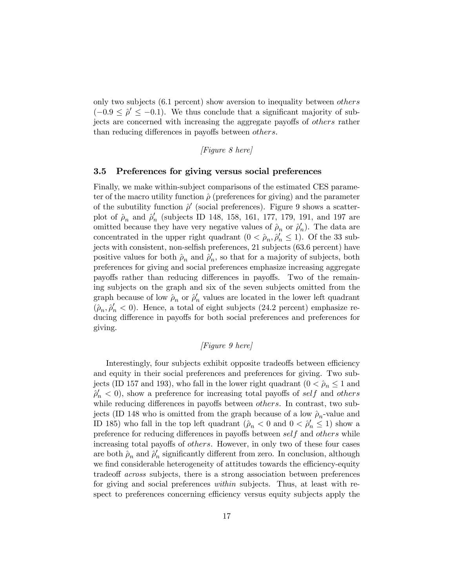only two subjects (6.1 percent) show aversion to inequality between others  $(-0.9 \leq \hat{\rho}' \leq -0.1)$ . We thus conclude that a significant majority of subjects are concerned with increasing the aggregate payoffs of others rather than reducing differences in payoffs between others.

[Figure 8 here]

## 3.5 Preferences for giving versus social preferences

Finally, we make within-subject comparisons of the estimated CES parameter of the macro utility function  $\hat{\rho}$  (preferences for giving) and the parameter of the subutility function  $\hat{\rho}'$  (social preferences). Figure 9 shows a scatterplot of  $\rho_n$  and  $\rho'_n$  (subjects ID 148, 158, 161, 177, 179, 191, and 197 are omitted because they have very negative values of  $\rho_n$  or  $\rho'_n$ ). The data are concentrated in the upper right quadrant  $(0 < \hat{\rho}_n, \hat{\rho}'_n \le 1)$ . Of the 33 subjects with consistent, non-selfish preferences, 21 subjects (63.6 percent) have positive values for both  $\hat{\rho}_n$  and  $\hat{\rho}'_n$ , so that for a majority of subjects, both preferences for giving and social preferences emphasize increasing aggregate payoffs rather than reducing differences in payoffs. Two of the remaining subjects on the graph and six of the seven subjects omitted from the graph because of low  $\rho_n$  or  $\rho'_n$  values are located in the lower left quadrant  $(\hat{\rho}_n, \hat{\rho}'_n < 0)$ . Hence, a total of eight subjects (24.2 percent) emphasize reducing difference in payoffs for both social preferences and preferences for giving.

# [Figure 9 here]

Interestingly, four subjects exhibit opposite tradeoffs between efficiency and equity in their social preferences and preferences for giving. Two subjects (ID 157 and 193), who fall in the lower right quadrant  $(0 < \hat{\rho}_n \leq 1$  and  $\hat{\rho}'_n < 0$ , show a preference for increasing total payoffs of self and others while reducing differences in payoffs between *others*. In contrast, two subjects (ID 148 who is omitted from the graph because of a low  $\hat{\rho}_n$ -value and ID 185) who fall in the top left quadrant  $(\hat{\rho}_n < 0 \text{ and } 0 < \hat{\rho}'_n \leq 1)$  show a preference for reducing differences in payoffs between self and others while increasing total payoffs of others. However, in only two of these four cases are both  $\hat{\rho}_n$  and  $\hat{\rho}'_n$  significantly different from zero. In conclusion, although we find considerable heterogeneity of attitudes towards the efficiency-equity tradeoff across subjects, there is a strong association between preferences for giving and social preferences within subjects. Thus, at least with respect to preferences concerning efficiency versus equity subjects apply the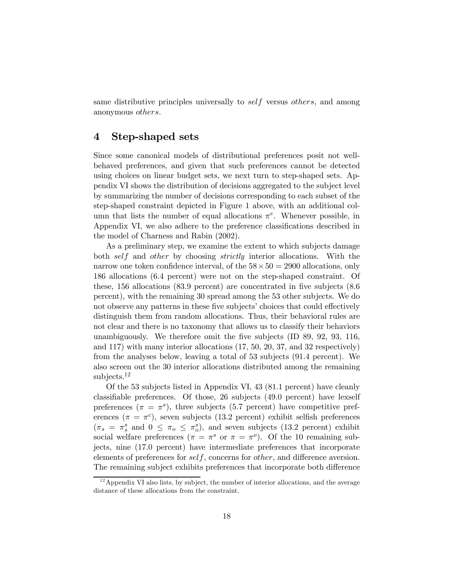same distributive principles universally to *self* versus *others*, and among anonymous others.

# 4 Step-shaped sets

Since some canonical models of distributional preferences posit not wellbehaved preferences, and given that such preferences cannot be detected using choices on linear budget sets, we next turn to step-shaped sets. Appendix VI shows the distribution of decisions aggregated to the subject level by summarizing the number of decisions corresponding to each subset of the step-shaped constraint depicted in Figure 1 above, with an additional column that lists the number of equal allocations  $\pi^e$ . Whenever possible, in Appendix VI, we also adhere to the preference classifications described in the model of Charness and Rabin (2002).

As a preliminary step, we examine the extent to which subjects damage both self and other by choosing strictly interior allocations. With the narrow one token confidence interval, of the  $58 \times 50 = 2900$  allocations, only 186 allocations (6.4 percent) were not on the step-shaped constraint. Of these, 156 allocations (83.9 percent) are concentrated in five subjects (8.6 percent), with the remaining 30 spread among the 53 other subjects. We do not observe any patterns in these five subjects' choices that could effectively distinguish them from random allocations. Thus, their behavioral rules are not clear and there is no taxonomy that allows us to classify their behaviors unambiguously. We therefore omit the five subjects (ID 89, 92, 93, 116, and 117) with many interior allocations (17, 50, 20, 37, and 32 respectively) from the analyses below, leaving a total of 53 subjects (91.4 percent). We also screen out the 30 interior allocations distributed among the remaining subjects.<sup>12</sup>

Of the 53 subjects listed in Appendix VI, 43 (81.1 percent) have cleanly classifiable preferences. Of those, 26 subjects (49.0 percent) have lexself preferences ( $\pi = \pi^s$ ), three subjects (5.7 percent) have competitive preferences ( $\pi = \pi^c$ ), seven subjects (13.2 percent) exhibit selfish preferences  $(\pi_s = \pi_s^s \text{ and } 0 \leq \pi_o \leq \pi_o^s),$  and seven subjects (13.2 percent) exhibit social welfare preferences ( $\pi = \pi^s$  or  $\pi = \pi^o$ ). Of the 10 remaining subjects, nine (17.0 percent) have intermediate preferences that incorporate elements of preferences for self, concerns for other, and difference aversion. The remaining subject exhibits preferences that incorporate both difference

 $12$  Appendix VI also lists, by subject, the number of interior allocations, and the average distance of these allocations from the constraint.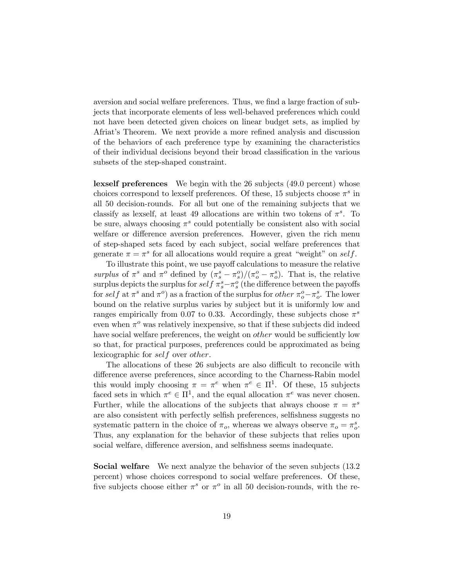aversion and social welfare preferences. Thus, we find a large fraction of subjects that incorporate elements of less well-behaved preferences which could not have been detected given choices on linear budget sets, as implied by Afriat's Theorem. We next provide a more refined analysis and discussion of the behaviors of each preference type by examining the characteristics of their individual decisions beyond their broad classification in the various subsets of the step-shaped constraint.

lexself preferences We begin with the 26 subjects (49.0 percent) whose choices correspond to lexself preferences. Of these, 15 subjects choose  $\pi^s$  in all 50 decision-rounds. For all but one of the remaining subjects that we classify as lexself, at least 49 allocations are within two tokens of  $\pi^s$ . To be sure, always choosing  $\pi^s$  could potentially be consistent also with social welfare or difference aversion preferences. However, given the rich menu of step-shaped sets faced by each subject, social welfare preferences that generate  $\pi = \pi^s$  for all allocations would require a great "weight" on self.

To illustrate this point, we use payoff calculations to measure the relative surplus of  $\pi^s$  and  $\pi^o$  defined by  $(\pi_s^s - \pi_s^o)/(\pi_o^o - \pi_o^s)$ . That is, the relative surplus depicts the surplus for  $self \pi_s^s - \pi_s^o$  (the difference between the payoffs for self at  $\pi^s$  and  $\pi^o$ ) as a fraction of the surplus for *other*  $\pi_o^o - \pi_o^s$ . The lower bound on the relative surplus varies by subject but it is uniformly low and ranges empirically from 0.07 to 0.33. Accordingly, these subjects chose  $\pi^s$ even when  $\pi^o$  was relatively inexpensive, so that if these subjects did indeed have social welfare preferences, the weight on *other* would be sufficiently low so that, for practical purposes, preferences could be approximated as being lexicographic for self over other.

The allocations of these 26 subjects are also difficult to reconcile with difference averse preferences, since according to the Charness-Rabin model this would imply choosing  $\pi = \pi^e$  when  $\pi^e \in \Pi^1$ . Of these, 15 subjects faced sets in which  $\pi^e \in \Pi^1$ , and the equal allocation  $\pi^e$  was never chosen. Further, while the allocations of the subjects that always choose  $\pi = \pi^s$ are also consistent with perfectly selfish preferences, selfishness suggests no systematic pattern in the choice of  $\pi_o$ , whereas we always observe  $\pi_o = \pi_o^s$ . Thus, any explanation for the behavior of these subjects that relies upon social welfare, difference aversion, and selfishness seems inadequate.

Social welfare We next analyze the behavior of the seven subjects (13.2 percent) whose choices correspond to social welfare preferences. Of these, five subjects choose either  $\pi^s$  or  $\pi^o$  in all 50 decision-rounds, with the re-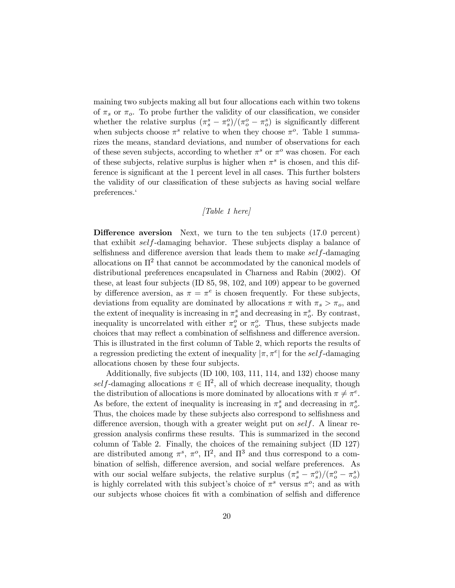maining two subjects making all but four allocations each within two tokens of  $\pi_s$  or  $\pi_o$ . To probe further the validity of our classification, we consider whether the relative surplus  $(\pi_s^s - \pi_s^o)/(\pi_o^o - \pi_o^s)$  is significantly different when subjects choose  $\pi^s$  relative to when they choose  $\pi^o$ . Table 1 summarizes the means, standard deviations, and number of observations for each of these seven subjects, according to whether  $\pi^s$  or  $\pi^o$  was chosen. For each of these subjects, relative surplus is higher when  $\pi^s$  is chosen, and this difference is significant at the 1 percent level in all cases. This further bolsters the validity of our classification of these subjects as having social welfare preferences.'

# [Table 1 here]

Difference aversion Next, we turn to the ten subjects (17.0 percent) that exhibit self-damaging behavior. These subjects display a balance of selfishness and difference aversion that leads them to make self-damaging allocations on  $\Pi^2$  that cannot be accommodated by the canonical models of distributional preferences encapsulated in Charness and Rabin (2002). Of these, at least four subjects (ID 85, 98, 102, and 109) appear to be governed by difference aversion, as  $\pi = \pi^e$  is chosen frequently. For these subjects, deviations from equality are dominated by allocations  $\pi$  with  $\pi_s > \pi_o$ , and the extent of inequality is increasing in  $\pi_s^s$  and decreasing in  $\pi_o^s$ . By contrast, inequality is uncorrelated with either  $\pi_s^o$  or  $\pi_o^o$ . Thus, these subjects made choices that may reflect a combination of selfishness and difference aversion. This is illustrated in the first column of Table 2, which reports the results of a regression predicting the extent of inequality  $|\pi, \pi^e|$  for the self-damaging allocations chosen by these four subjects.

Additionally, five subjects (ID 100, 103, 111, 114, and 132) choose many self-damaging allocations  $\pi \in \Pi^2$ , all of which decrease inequality, though the distribution of allocations is more dominated by allocations with  $\pi \neq \pi^e$ . As before, the extent of inequality is increasing in  $\pi_s^s$  and decreasing in  $\pi_o^s$ . Thus, the choices made by these subjects also correspond to selfishness and difference aversion, though with a greater weight put on self. A linear regression analysis confirms these results. This is summarized in the second column of Table 2. Finally, the choices of the remaining subject (ID 127) are distributed among  $\pi^s$ ,  $\pi^o$ ,  $\Pi^2$ , and  $\Pi^3$  and thus correspond to a combination of selfish, difference aversion, and social welfare preferences. As with our social welfare subjects, the relative surplus  $(\pi_s^s - \pi_s^o)/(\pi_o^o - \pi_o^s)$ is highly correlated with this subject's choice of  $\pi^s$  versus  $\pi^o$ ; and as with our subjects whose choices fit with a combination of selfish and difference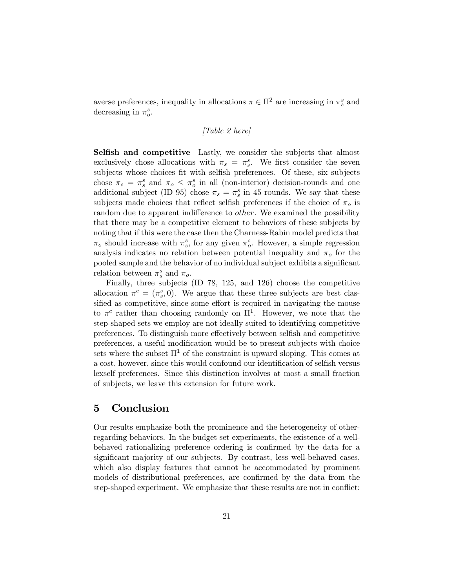averse preferences, inequality in allocations  $\pi \in \Pi^2$  are increasing in  $\pi_s^s$  and decreasing in  $\pi_o^s$ .

# [Table 2 here]

Selfish and competitive Lastly, we consider the subjects that almost exclusively chose allocations with  $\pi_s = \pi_s^s$ . We first consider the seven subjects whose choices fit with selfish preferences. Of these, six subjects chose  $\pi_s = \pi_s^s$  and  $\pi_o \leq \pi_o^s$  in all (non-interior) decision-rounds and one additional subject (ID 95) chose  $\pi_s = \pi_s^s$  in 45 rounds. We say that these subjects made choices that reflect selfish preferences if the choice of  $\pi_o$  is random due to apparent indifference to *other*. We examined the possibility that there may be a competitive element to behaviors of these subjects by noting that if this were the case then the Charness-Rabin model predicts that  $\pi_o$  should increase with  $\pi_s^s$ , for any given  $\pi_o^s$ . However, a simple regression analysis indicates no relation between potential inequality and  $\pi_o$  for the pooled sample and the behavior of no individual subject exhibits a significant relation between  $\pi_s^s$  and  $\pi_o$ .

Finally, three subjects (ID 78, 125, and 126) choose the competitive allocation  $\pi^c = (\pi_s^s, 0)$ . We argue that these three subjects are best classified as competitive, since some effort is required in navigating the mouse to  $\pi^c$  rather than choosing randomly on  $\Pi^1$ . However, we note that the step-shaped sets we employ are not ideally suited to identifying competitive preferences. To distinguish more effectively between selfish and competitive preferences, a useful modification would be to present subjects with choice sets where the subset  $\Pi^1$  of the constraint is upward sloping. This comes at a cost, however, since this would confound our identification of selfish versus lexself preferences. Since this distinction involves at most a small fraction of subjects, we leave this extension for future work.

# 5 Conclusion

Our results emphasize both the prominence and the heterogeneity of otherregarding behaviors. In the budget set experiments, the existence of a wellbehaved rationalizing preference ordering is confirmed by the data for a significant majority of our subjects. By contrast, less well-behaved cases, which also display features that cannot be accommodated by prominent models of distributional preferences, are confirmed by the data from the step-shaped experiment. We emphasize that these results are not in conflict: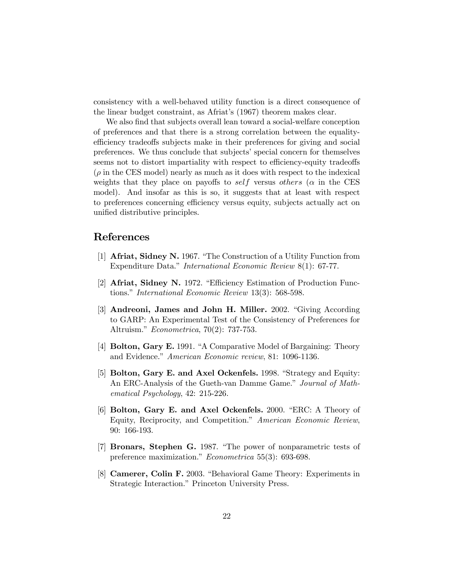consistency with a well-behaved utility function is a direct consequence of the linear budget constraint, as Afriat's (1967) theorem makes clear.

We also find that subjects overall lean toward a social-welfare conception of preferences and that there is a strong correlation between the equalityefficiency tradeoffs subjects make in their preferences for giving and social preferences. We thus conclude that subjects' special concern for themselves seems not to distort impartiality with respect to efficiency-equity tradeoffs  $(\rho \text{ in the CES model})$  nearly as much as it does with respect to the indexical weights that they place on payoffs to self versus others ( $\alpha$  in the CES model). And insofar as this is so, it suggests that at least with respect to preferences concerning efficiency versus equity, subjects actually act on unified distributive principles.

# References

- [1] Afriat, Sidney N. 1967. "The Construction of a Utility Function from Expenditure Data." International Economic Review 8(1): 67-77.
- [2] Afriat, Sidney N. 1972. "Efficiency Estimation of Production Functions." International Economic Review 13(3): 568-598.
- [3] Andreoni, James and John H. Miller. 2002. "Giving According to GARP: An Experimental Test of the Consistency of Preferences for Altruism." Econometrica, 70(2): 737-753.
- [4] Bolton, Gary E. 1991. "A Comparative Model of Bargaining: Theory and Evidence." American Economic review, 81: 1096-1136.
- [5] Bolton, Gary E. and Axel Ockenfels. 1998. "Strategy and Equity: An ERC-Analysis of the Gueth-van Damme Game." Journal of Mathematical Psychology, 42: 215-226.
- [6] Bolton, Gary E. and Axel Ockenfels. 2000. "ERC: A Theory of Equity, Reciprocity, and Competition." American Economic Review, 90: 166-193.
- [7] Bronars, Stephen G. 1987. "The power of nonparametric tests of preference maximization." Econometrica 55(3): 693-698.
- [8] Camerer, Colin F. 2003. "Behavioral Game Theory: Experiments in Strategic Interaction." Princeton University Press.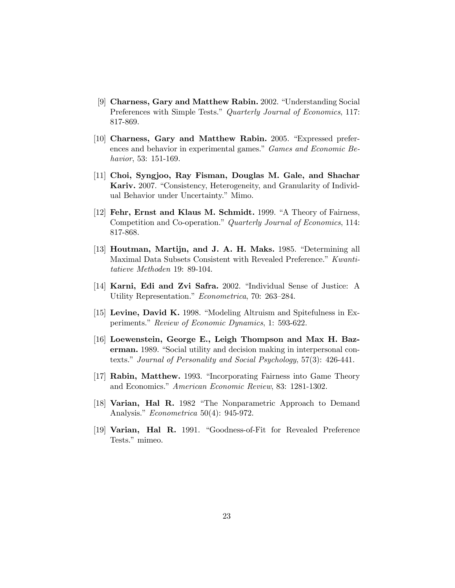- [9] Charness, Gary and Matthew Rabin. 2002. "Understanding Social Preferences with Simple Tests." Quarterly Journal of Economics, 117: 817-869.
- [10] Charness, Gary and Matthew Rabin. 2005. "Expressed preferences and behavior in experimental games." Games and Economic Behavior, 53: 151-169.
- [11] Choi, Syngjoo, Ray Fisman, Douglas M. Gale, and Shachar Kariv. 2007. "Consistency, Heterogeneity, and Granularity of Individual Behavior under Uncertainty." Mimo.
- [12] Fehr, Ernst and Klaus M. Schmidt. 1999. "A Theory of Fairness, Competition and Co-operation." Quarterly Journal of Economics, 114: 817-868.
- [13] Houtman, Martijn, and J. A. H. Maks. 1985. "Determining all Maximal Data Subsets Consistent with Revealed Preference." Kwantitatieve Methoden 19: 89-104.
- [14] Karni, Edi and Zvi Safra. 2002. "Individual Sense of Justice: A Utility Representation." Econometrica, 70: 263—284.
- [15] Levine, David K. 1998. "Modeling Altruism and Spitefulness in Experiments." Review of Economic Dynamics, 1: 593-622.
- [16] Loewenstein, George E., Leigh Thompson and Max H. Bazerman. 1989. "Social utility and decision making in interpersonal contexts." Journal of Personality and Social Psychology, 57(3): 426-441.
- [17] Rabin, Matthew. 1993. "Incorporating Fairness into Game Theory and Economics." American Economic Review, 83: 1281-1302.
- [18] Varian, Hal R. 1982 "The Nonparametric Approach to Demand Analysis." Econometrica 50(4): 945-972.
- [19] Varian, Hal R. 1991. "Goodness-of-Fit for Revealed Preference Tests." mimeo.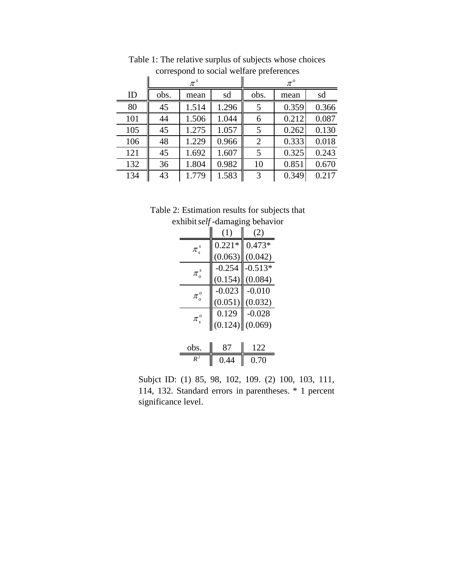|     | $\pi^s$ |       |       | $\pi^{\scriptscriptstyle o}$ |       |       |
|-----|---------|-------|-------|------------------------------|-------|-------|
| ID  | obs.    | mean  | sd    | obs.                         | mean  | sd    |
| 80  | 45      | 1.514 | 1.296 | 5                            | 0.359 | 0.366 |
| 101 | 44      | 1.506 | 1.044 | 6                            | 0.212 | 0.087 |
| 105 | 45      | 1.275 | 1.057 | 5                            | 0.262 | 0.130 |
| 106 | 48      | 1.229 | 0.966 | $\overline{2}$               | 0.333 | 0.018 |
| 121 | 45      | 1.692 | 1.607 | 5                            | 0.325 | 0.243 |
| 132 | 36      | 1.804 | 0.982 | 10                           | 0.851 | 0.670 |
| 134 | 43      | 1.779 | 1.583 | 3                            | 0.349 | 0.217 |

Table 1: The relative surplus of subjects whose choices correspond to social welfare preferences

Table 2: Estimation results for subjects that exhibit *self* -damaging behavior

|                                                        | (1)      | (Z)       |
|--------------------------------------------------------|----------|-----------|
| $\pi$ <sup>s</sup> <sub>s</sub>                        | $0.221*$ | $0.473*$  |
|                                                        | (0.063)  | (0.042)   |
| $\pi_s^s$                                              | $-0.254$ | $-0.513*$ |
|                                                        | (0.154)  | (0.084)   |
| $\pi_{\scriptscriptstyle{o}}^{\scriptscriptstyle{o}}$  | $-0.023$ | $-0.010$  |
|                                                        | (0.051)  | (0.032)   |
| $\pi_{\scriptscriptstyle\rm s}^{\scriptscriptstyle o}$ | 0.129    | $-0.028$  |
|                                                        | (0.124)  | (0.069)   |
|                                                        |          |           |

| $-$ 0bs | . . <b>.</b> . |  |
|---------|----------------|--|
|         | 0.70           |  |

Subjct ID: (1) 85, 98, 102, 109. (2) 100, 103, 111, 114, 132. Standard errors in parentheses. \* 1 percent significance level.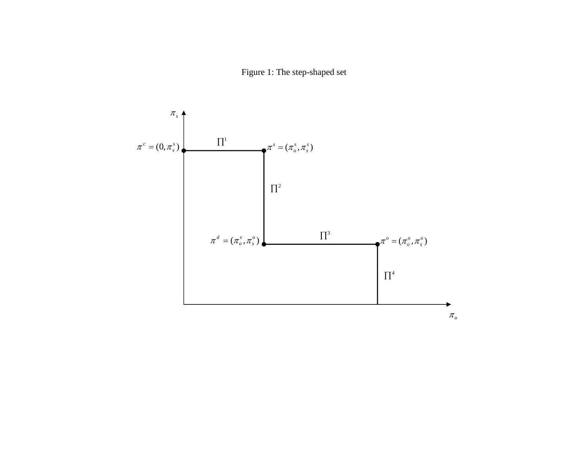Figure 1: The step-shaped set

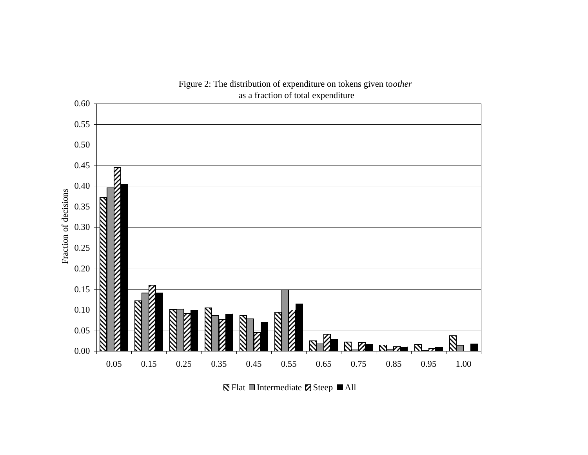

Figure 2: The distribution of expenditure on tokens given to *other* 

Flat  $\blacksquare$  Intermediate  $\blacksquare$  Steep  $\blacksquare$  All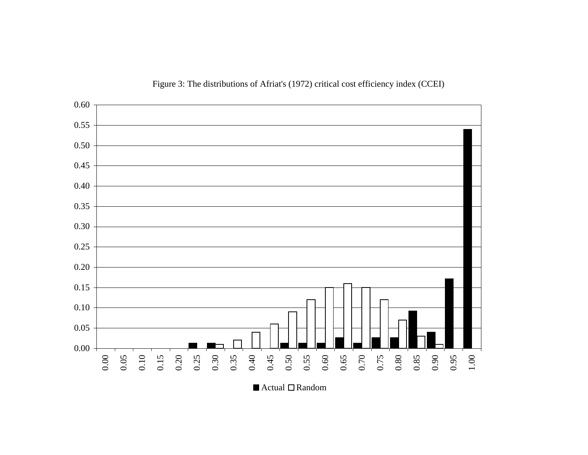

Figure 3: The distributions of Afriat's (1972) critical cost efficiency index (CCEI)

Actual □Random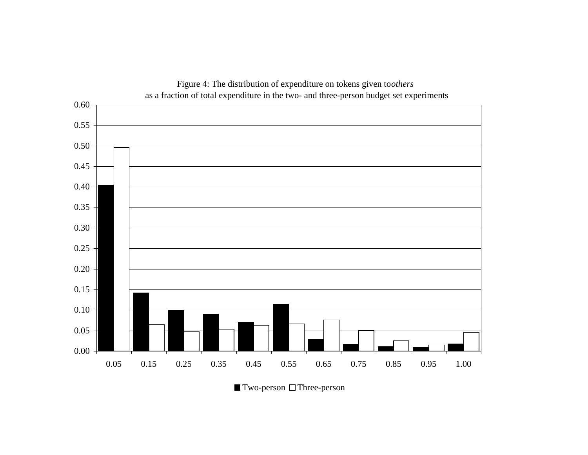

 $\blacksquare$  Two-person  $\Box$  Three-person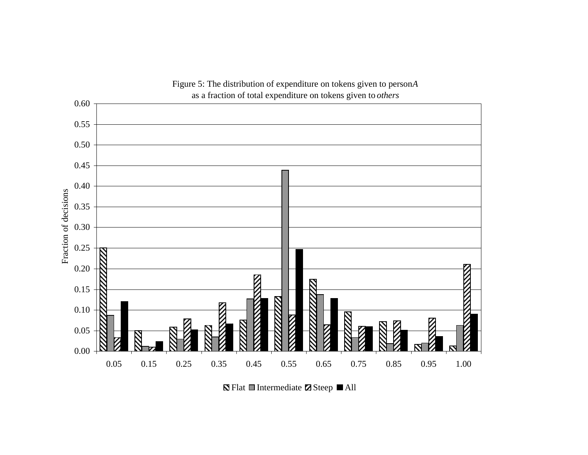

Flat  $\blacksquare$  Intermediate  $\blacksquare$  Steep  $\blacksquare$  All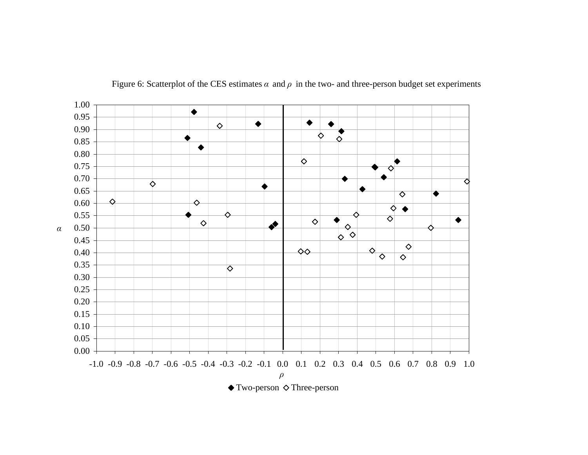

Figure 6: Scatterplot of the CES estimates  $\alpha$  and  $\rho$  in the two- and three-person budget set experiments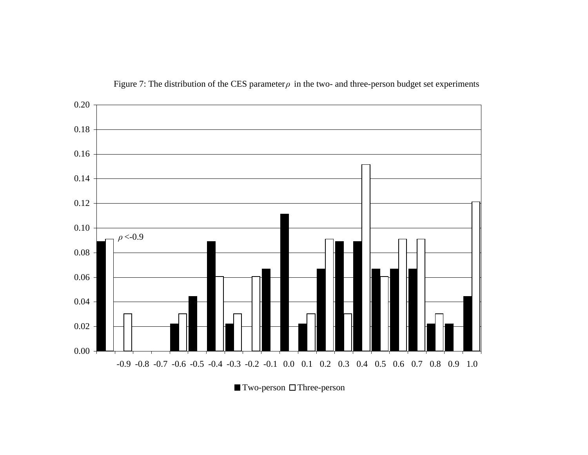

Figure 7: The distribution of the CES parameter  $\rho$  in the two- and three-person budget set experiments

 $\blacksquare$  Two-person  $\Box$  Three-person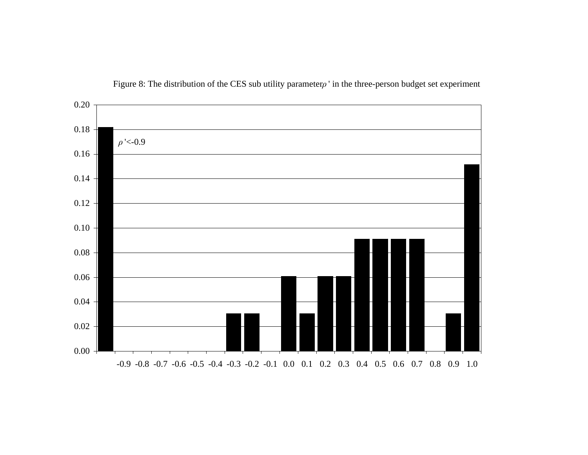

Figure 8: The distribution of the CES sub utility parameter *ρ* ' in the three-person budget set experiment